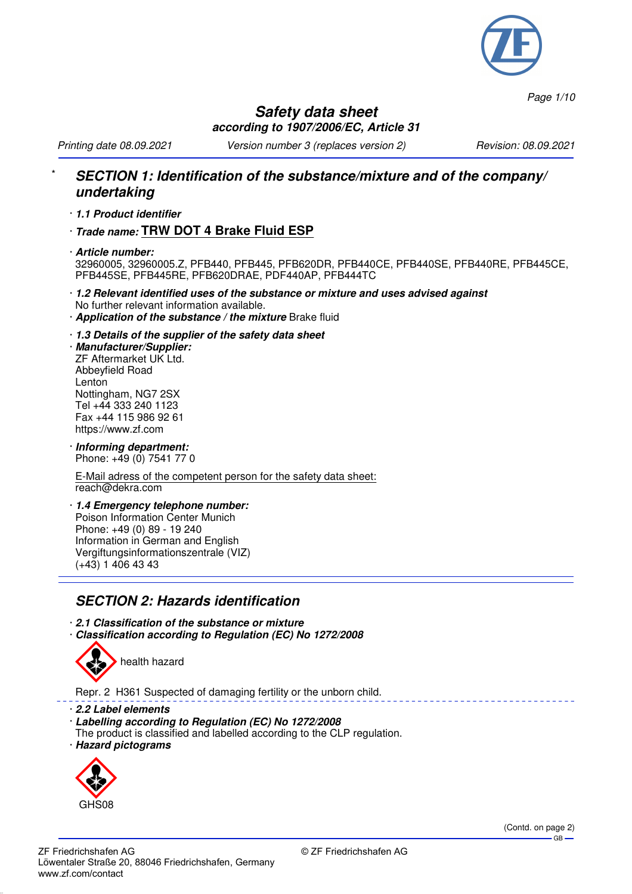

*Page 1/10*

#### **Safety data sheet according to 1907/2006/EC, Article 31**

*Printing date 08.09.2021 Version number 3 (replaces version 2) Revision: 08.09.2021*

### \* **SECTION 1: Identification of the substance/mixture and of the company/ undertaking**

- · **1.1 Product identifier**
- · **Trade name: TRW DOT 4 Brake Fluid ESP**
- · **Article number:** 32960005, 32960005.Z, PFB440, PFB445, PFB620DR, PFB440CE, PFB440SE, PFB440RE, PFB445CE, PFB445SE, PFB445RE, PFB620DRAE, PDF440AP, PFB444TC
- · **1.2 Relevant identified uses of the substance or mixture and uses advised against** No further relevant information available.
- · **Application of the substance / the mixture** Brake fluid
- · **1.3 Details of the supplier of the safety data sheet**

· **Manufacturer/Supplier:** ZF Aftermarket UK Ltd. Abbeyfield Road Lenton Nottingham, NG7 2SX Tel +44 333 240 1123 Fax +44 115 986 92 61 https://www.zf.com

· **Informing department:** Phone: +49 (0) 7541 77 0

E-Mail adress of the competent person for the safety data sheet: reach@dekra.com

· **1.4 Emergency telephone number:** Poison Information Center Munich Phone: +49 (0) 89 - 19 240 Information in German and English Vergiftungsinformationszentrale (VIZ)  $(+43)$  1 406 43 43

# **SECTION 2: Hazards identification**

· **2.1 Classification of the substance or mixture** · **Classification according to Regulation (EC) No 1272/2008**



Repr. 2 H361 Suspected of damaging fertility or the unborn child.

- · **2.2 Label elements**
- · **Labelling according to Regulation (EC) No 1272/2008**
- The product is classified and labelled according to the CLP regulation.
- · **Hazard pictograms**



(Contd. on page 2)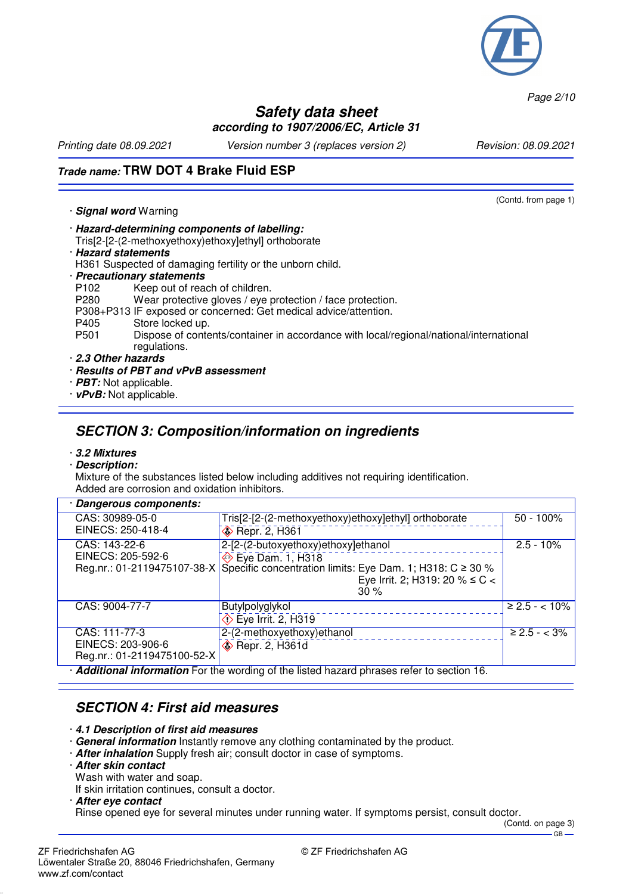

*Page 2/10*

#### **Safety data sheet according to 1907/2006/EC, Article 31**

*Printing date 08.09.2021 Version number 3 (replaces version 2) Revision: 08.09.2021*

(Contd. from page 1)

## **Trade name: TRW DOT 4 Brake Fluid ESP**

· **Signal word** Warning

- · **Hazard-determining components of labelling:**
- Tris[2-[2-(2-methoxyethoxy)ethoxy]ethyl] orthoborate
- · **Hazard statements**
- H361 Suspected of damaging fertility or the unborn child.
- · **Precautionary statements**
- P102 Keep out of reach of children.<br>P280 Wear protective gloves / eve p
- Wear protective gloves / eye protection / face protection.
- P308+P313 IF exposed or concerned: Get medical advice/attention.
- P405 Store locked up.<br>P501 Dispose of conte
	- Dispose of contents/container in accordance with local/regional/national/international regulations.
- · **2.3 Other hazards**
- · **Results of PBT and vPvB assessment**
- · **PBT:** Not applicable.
- · **vPvB:** Not applicable.

# **SECTION 3: Composition/information on ingredients**

#### · **3.2 Mixtures** · **Description:**

Mixture of the substances listed below including additives not requiring identification. Added are corrosion and oxidation inhibitors.

| · Dangerous components:                                                                         |                                                                                              |                    |  |
|-------------------------------------------------------------------------------------------------|----------------------------------------------------------------------------------------------|--------------------|--|
| CAS: 30989-05-0                                                                                 | Tris[2-[2-(2-methoxyethoxy)ethoxy]ethyl] orthoborate                                         | $50 - 100\%$       |  |
| EINECS: 250-418-4                                                                               | <b>Example 2, H361</b>                                                                       |                    |  |
| CAS: 143-22-6                                                                                   | 2-[2-(2-butoxyethoxy)ethoxy]ethanol                                                          | $2.5 - 10\%$       |  |
| EINECS: 205-592-6                                                                               | → Eye Dam. 1, H318                                                                           |                    |  |
|                                                                                                 | Reg.nr.: 01-2119475107-38-X   Specific concentration limits: Eye Dam. 1; H318: C $\geq$ 30 % |                    |  |
|                                                                                                 | Eye Irrit. 2; H319: 20 % ≤ C <                                                               |                    |  |
|                                                                                                 | $30\%$                                                                                       |                    |  |
| CAS: 9004-77-7                                                                                  | Butylpolyglykol                                                                              | $\geq 2.5 - 10\%$  |  |
|                                                                                                 | $\circled{}$ Eye Irrit. 2, H319                                                              |                    |  |
| CAS: 111-77-3                                                                                   | 2-(2-methoxyethoxy) ethanol                                                                  | $\geq 2.5 - < 3\%$ |  |
| EINECS: 203-906-6                                                                               | <b>◆ Repr. 2, H361d</b>                                                                      |                    |  |
| Reg.nr.: 01-2119475100-52-X                                                                     |                                                                                              |                    |  |
| $\cdot$ Additional information For the wording of the listed hazard phrases refer to section 16 |                                                                                              |                    |  |

· **Additional information** For the wording of the listed hazard phrases refer to section 16.

## **SECTION 4: First aid measures**

- · **4.1 Description of first aid measures**
- · **General information** Instantly remove any clothing contaminated by the product.
- · **After inhalation** Supply fresh air; consult doctor in case of symptoms.
- · **After skin contact**
- Wash with water and soap.
- If skin irritation continues, consult a doctor.
- · **After eye contact**

Rinse opened eye for several minutes under running water. If symptoms persist, consult doctor.

(Contd. on page 3) GB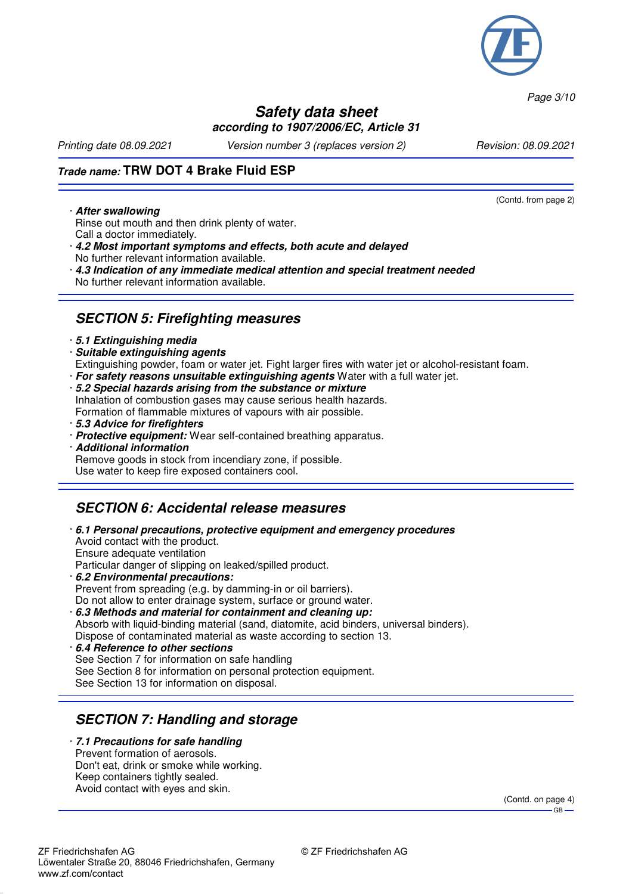

*Page 3/10*

#### **Safety data sheet according to 1907/2006/EC, Article 31**

*Printing date 08.09.2021 Version number 3 (replaces version 2) Revision: 08.09.2021*

(Contd. from page 2)

## **Trade name: TRW DOT 4 Brake Fluid ESP**

#### · **After swallowing**

- Rinse out mouth and then drink plenty of water. Call a doctor immediately.
- · **4.2 Most important symptoms and effects, both acute and delayed** No further relevant information available.
- · **4.3 Indication of any immediate medical attention and special treatment needed** No further relevant information available.

## **SECTION 5: Firefighting measures**

#### · **5.1 Extinguishing media**

· **Suitable extinguishing agents**

Extinguishing powder, foam or water jet. Fight larger fires with water jet or alcohol-resistant foam.

- · **For safety reasons unsuitable extinguishing agents** Water with a full water jet.
- · **5.2 Special hazards arising from the substance or mixture** Inhalation of combustion gases may cause serious health hazards.
- Formation of flammable mixtures of vapours with air possible.
- · **5.3 Advice for firefighters**
- · **Protective equipment:** Wear self-contained breathing apparatus.
- · **Additional information** Remove goods in stock from incendiary zone, if possible. Use water to keep fire exposed containers cool.

## **SECTION 6: Accidental release measures**

- · **6.1 Personal precautions, protective equipment and emergency procedures** Avoid contact with the product. Ensure adequate ventilation Particular danger of slipping on leaked/spilled product. · **6.2 Environmental precautions:** Prevent from spreading (e.g. by damming-in or oil barriers).
- Do not allow to enter drainage system, surface or ground water. · **6.3 Methods and material for containment and cleaning up:** Absorb with liquid-binding material (sand, diatomite, acid binders, universal binders). Dispose of contaminated material as waste according to section 13.
- · **6.4 Reference to other sections** See Section 7 for information on safe handling See Section 8 for information on personal protection equipment. See Section 13 for information on disposal.

# **SECTION 7: Handling and storage**

· **7.1 Precautions for safe handling** Prevent formation of aerosols. Don't eat, drink or smoke while working. Keep containers tightly sealed. Avoid contact with eyes and skin.

> (Contd. on page 4)  $-GR$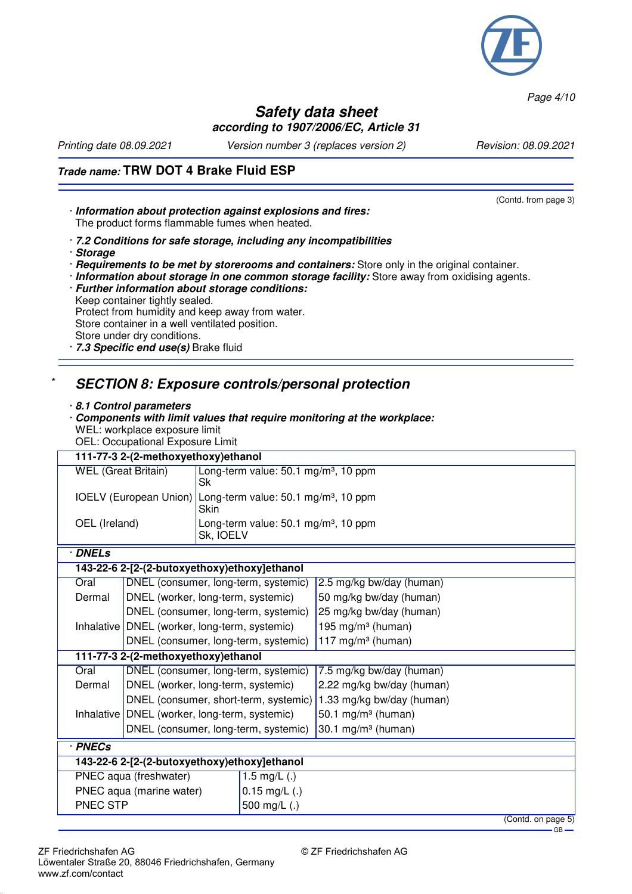

*Page 4/10*

 $GB -$ 

#### **Safety data sheet according to 1907/2006/EC, Article 31**

*Printing date 08.09.2021 Version number 3 (replaces version 2) Revision: 08.09.2021*

## **Trade name: TRW DOT 4 Brake Fluid ESP**

| · Information about protection against explosions and fires:<br>The product forms flammable fumes when heated. | (Contd. from page 3) |
|----------------------------------------------------------------------------------------------------------------|----------------------|
| .7.2 Conditions for safe storage, including any incompatibilities<br>· Storage                                 |                      |

- · **Requirements to be met by storerooms and containers:** Store only in the original container.
- · **Information about storage in one common storage facility:** Store away from oxidising agents.
- · **Further information about storage conditions:** Keep container tightly sealed. Protect from humidity and keep away from water.

Store container in a well ventilated position. Store under dry conditions.

· **7.3 Specific end use(s)** Brake fluid

## \* **SECTION 8: Exposure controls/personal protection**

#### · **8.1 Control parameters**

- · **Components with limit values that require monitoring at the workplace:** WEL: workplace exposure limit
- OEL: Occupational Exposure Limit

| 111-77-3 2-(2-methoxyethoxy)ethanol          |                                                 |                       |                                                                         |                               |  |
|----------------------------------------------|-------------------------------------------------|-----------------------|-------------------------------------------------------------------------|-------------------------------|--|
| <b>WEL</b> (Great Britain)<br>Sk             |                                                 |                       | Long-term value: 50.1 mg/m <sup>3</sup> , 10 ppm                        |                               |  |
|                                              |                                                 | Skin                  | IOELV (European Union) Long-term value: 50.1 mg/m <sup>3</sup> , 10 ppm |                               |  |
| OEL (Ireland)                                |                                                 |                       | Long-term value: 50.1 mg/m <sup>3</sup> , 10 ppm<br>Sk, IOELV           |                               |  |
| · DNELs                                      |                                                 |                       |                                                                         |                               |  |
|                                              | 143-22-6 2-[2-(2-butoxyethoxy)ethoxy]ethanol    |                       |                                                                         |                               |  |
| Oral                                         |                                                 |                       | DNEL (consumer, long-term, systemic)                                    | 2.5 mg/kg bw/day (human)      |  |
| Dermal                                       | DNEL (worker, long-term, systemic)              |                       |                                                                         | 50 mg/kg bw/day (human)       |  |
|                                              |                                                 |                       | DNEL (consumer, long-term, systemic)                                    | 25 mg/kg bw/day (human)       |  |
|                                              | Inhalative   DNEL (worker, long-term, systemic) |                       |                                                                         | 195 mg/m <sup>3</sup> (human) |  |
|                                              |                                                 |                       | DNEL (consumer, long-term, systemic)                                    | 117 mg/m $3$ (human)          |  |
| 111-77-3 2-(2-methoxyethoxy) ethanol         |                                                 |                       |                                                                         |                               |  |
| Oral                                         | DNEL (consumer, long-term, systemic)            |                       |                                                                         | 7.5 mg/kg bw/day (human)      |  |
| Dermal                                       | DNEL (worker, long-term, systemic)              |                       |                                                                         | 2.22 mg/kg bw/day (human)     |  |
|                                              | DNEL (consumer, short-term, systemic)           |                       |                                                                         | 1.33 mg/kg bw/day (human)     |  |
|                                              | Inhalative   DNEL (worker, long-term, systemic) |                       |                                                                         | 50.1 mg/m $3$ (human)         |  |
| DNEL (consumer, long-term, systemic)         |                                                 | 30.1 mg/m $3$ (human) |                                                                         |                               |  |
| · PNECs                                      |                                                 |                       |                                                                         |                               |  |
| 143-22-6 2-[2-(2-butoxyethoxy)ethoxy]ethanol |                                                 |                       |                                                                         |                               |  |
| PNEC aqua (freshwater)<br>1.5 mg/L $(.)$     |                                                 |                       |                                                                         |                               |  |
| PNEC aqua (marine water)                     |                                                 | $0.15$ mg/L $(.)$     |                                                                         |                               |  |
| PNEC STP                                     |                                                 | 500 mg/L (.)          |                                                                         |                               |  |
|                                              | (Contd. on page 5)                              |                       |                                                                         |                               |  |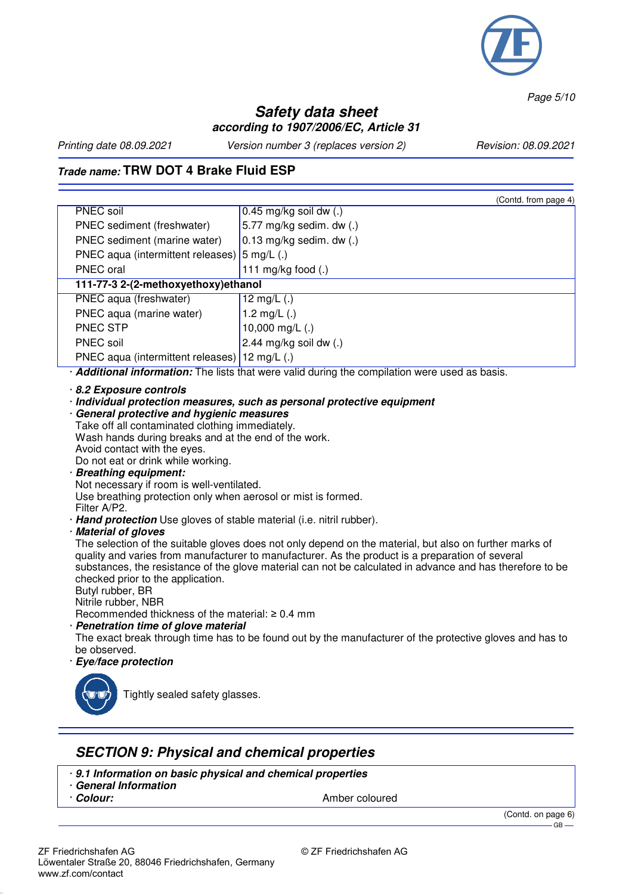

*Page 5/10*

### **Safety data sheet according to 1907/2006/EC, Article 31**

*Printing date 08.09.2021 Version number 3 (replaces version 2) Revision: 08.09.2021*

## **Trade name: TRW DOT 4 Brake Fluid ESP**

|                                                         | (Contd. from page 4)         |  |
|---------------------------------------------------------|------------------------------|--|
| PNEC soil                                               | $0.45$ mg/kg soil dw $(.)$   |  |
| PNEC sediment (freshwater)                              | 5.77 mg/kg sedim. dw (.)     |  |
| PNEC sediment (marine water)                            | $0.13$ mg/kg sedim. dw $(.)$ |  |
| PNEC aqua (intermittent releases) $ 5 \text{ mg/L}$ (.) |                              |  |
| PNEC oral                                               | 111 mg/kg food $(.)$         |  |
| 111-77-3 2-(2-methoxyethoxy) ethanol                    |                              |  |
| PNEC aqua (freshwater)                                  | 12 mg/L $(.)$                |  |
| PNEC aqua (marine water)                                | 1.2 mg/L $(.)$               |  |
| PNEC STP                                                | 10,000 mg/L $(.)$            |  |
| <b>PNEC</b> soil                                        | 2.44 mg/kg soil dw $(.)$     |  |
| PNEC aqua (intermittent releases) 12 mg/L (.)           |                              |  |
|                                                         |                              |  |

· **Additional information:** The lists that were valid during the compilation were used as basis.

- · **8.2 Exposure controls**
- · **Individual protection measures, such as personal protective equipment**
- · **General protective and hygienic measures** Take off all contaminated clothing immediately. Wash hands during breaks and at the end of the work. Avoid contact with the eyes. Do not eat or drink while working.
- · **Breathing equipment:**

Not necessary if room is well-ventilated.

Use breathing protection only when aerosol or mist is formed.

Filter A/P2.

- · **Hand protection** Use gloves of stable material (i.e. nitril rubber).
- · **Material of gloves**

The selection of the suitable gloves does not only depend on the material, but also on further marks of quality and varies from manufacturer to manufacturer. As the product is a preparation of several substances, the resistance of the glove material can not be calculated in advance and has therefore to be checked prior to the application.

Butyl rubber, BR

Nitrile rubber, NBR

Recommended thickness of the material: ≥ 0.4 mm

· **Penetration time of glove material**

The exact break through time has to be found out by the manufacturer of the protective gloves and has to be observed.

· **Eye/face protection**



Tightly sealed safety glasses.

#### **SECTION 9: Physical and chemical properties**

- · **9.1 Information on basic physical and chemical properties**
- · **General Information**
- 

· **Colour:** Amber coloured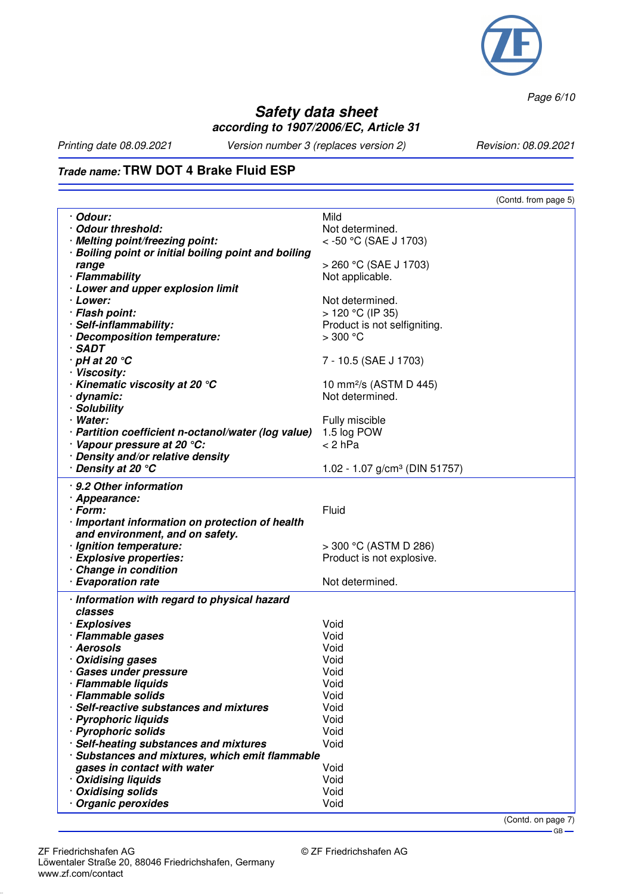

*Page 6/10*

## **Safety data sheet according to 1907/2006/EC, Article 31**

*Printing date 08.09.2021 Version number 3 (replaces version 2) Revision: 08.09.2021*

# **Trade name: TRW DOT 4 Brake Fluid ESP**

|                                                      | (Contd. from page 5)                      |
|------------------------------------------------------|-------------------------------------------|
| · Odour:                                             | Mild                                      |
| Odour threshold:                                     | Not determined.                           |
| · Melting point/freezing point:                      | < -50 °C (SAE J 1703)                     |
| · Boiling point or initial boiling point and boiling |                                           |
| range                                                | > 260 °C (SAE J 1703)                     |
| · Flammability                                       | Not applicable.                           |
| · Lower and upper explosion limit                    |                                           |
| · Lower:                                             | Not determined.                           |
| · Flash point:                                       | $> 120 °C$ (IP 35)                        |
| · Self-inflammability:                               | Product is not selfigniting.              |
| · Decomposition temperature:                         | $>300$ °C                                 |
| $\cdot$ SADT                                         |                                           |
| $\cdot$ pH at 20 $\degree$ C                         | 7 - 10.5 (SAE J 1703)                     |
| · Viscosity:                                         |                                           |
| $\cdot$ Kinematic viscosity at 20 $\degree$ C        | 10 mm <sup>2</sup> /s (ASTM D 445)        |
| · dynamic:                                           | Not determined.                           |
| · Solubility                                         |                                           |
| · Water:                                             | Fully miscible                            |
| · Partition coefficient n-octanol/water (log value)  | 1.5 log POW                               |
| · Vapour pressure at 20 °C:                          | $< 2$ hPa                                 |
| · Density and/or relative density                    |                                           |
| · Density at 20 °C                                   | 1.02 - 1.07 g/cm <sup>3</sup> (DIN 51757) |
| · 9.2 Other information                              |                                           |
| · Appearance:                                        |                                           |
| · Form:                                              | Fluid                                     |
| · Important information on protection of health      |                                           |
| and environment, and on safety.                      |                                           |
| · Ignition temperature:                              | > 300 °C (ASTM D 286)                     |
| · Explosive properties:                              | Product is not explosive.                 |
| · Change in condition                                |                                           |
| · Evaporation rate                                   | Not determined.                           |
| · Information with regard to physical hazard         |                                           |
| classes                                              |                                           |
| · Explosives                                         | Void                                      |
| · Flammable gases                                    | Void                                      |
| · Aerosols                                           | Void                                      |
| · Oxidising gases                                    | Void                                      |
| · Gases under pressure                               | Void                                      |
| · Flammable liquids                                  | Void                                      |
| · Flammable solids                                   | Void                                      |
| · Self-reactive substances and mixtures              | Void                                      |
| · Pyrophoric liquids                                 | Void                                      |
| · Pyrophoric solids                                  | Void                                      |
| · Self-heating substances and mixtures               | Void                                      |
| · Substances and mixtures, which emit flammable      |                                           |
| gases in contact with water                          | Void                                      |
| · Oxidising liquids                                  | Void<br>Void                              |
| · Oxidising solids                                   | Void                                      |
| · Organic peroxides                                  |                                           |

(Contd. on page 7)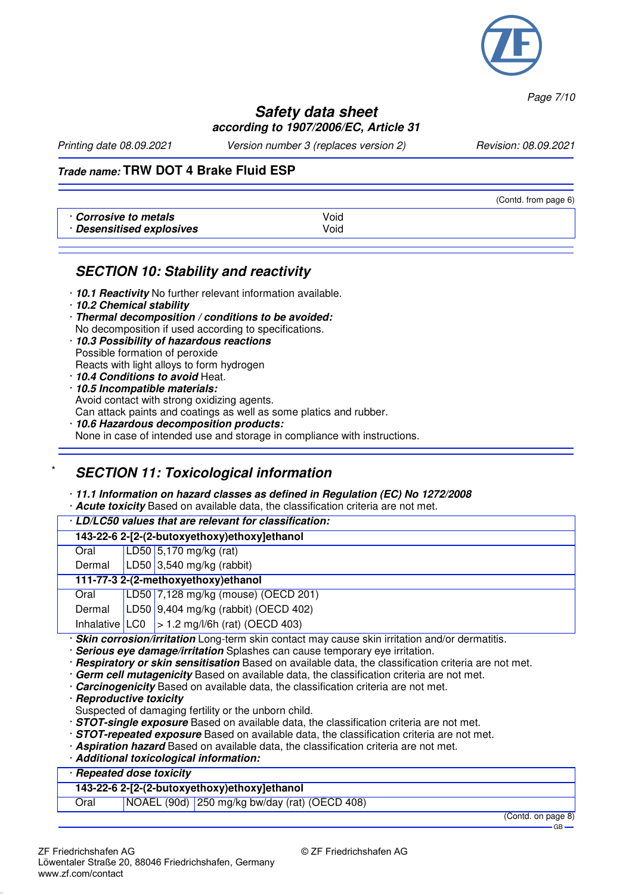

*Page 7/10*

#### **Safety data sheet according to 1907/2006/EC, Article 31**

*Printing date 08.09.2021 Version number 3 (replaces version 2) Revision: 08.09.2021*

#### **Trade name: TRW DOT 4 Brake Fluid ESP**

|                                                    |              | (Contd. from page 6) |
|----------------------------------------------------|--------------|----------------------|
| Corrosive to metals .<br>· Desensitised explosives | Void<br>Void |                      |

#### **SECTION 10: Stability and reactivity**

- · **10.1 Reactivity** No further relevant information available.
- · **10.2 Chemical stability**
- · **Thermal decomposition / conditions to be avoided:** No decomposition if used according to specifications.
- · **10.3 Possibility of hazardous reactions** Possible formation of peroxide Reacts with light alloys to form hydrogen
- · **10.4 Conditions to avoid** Heat.
- · **10.5 Incompatible materials:**
- Avoid contact with strong oxidizing agents.

Can attack paints and coatings as well as some platics and rubber.

· **10.6 Hazardous decomposition products:** None in case of intended use and storage in compliance with instructions.

# **SECTION 11: Toxicological information**

#### · **11.1 Information on hazard classes as defined in Regulation (EC) No 1272/2008**

· **Acute toxicity** Based on available data, the classification criteria are not met.

| . LD/LC50 values that are relevant for classification: |  |                                                                                                                                                     |  |  |
|--------------------------------------------------------|--|-----------------------------------------------------------------------------------------------------------------------------------------------------|--|--|
| 143-22-6 2-[2-(2-butoxyethoxy)ethoxy]ethanol           |  |                                                                                                                                                     |  |  |
| Oral                                                   |  | LD50 5,170 mg/kg (rat)                                                                                                                              |  |  |
|                                                        |  | Dermal $ LD50 3,540$ mg/kg (rabbit)                                                                                                                 |  |  |
| 111-77-3 2-(2-methoxyethoxy)ethanol                    |  |                                                                                                                                                     |  |  |
| Oral                                                   |  | LD50 7,128 mg/kg (mouse) (OECD 201)                                                                                                                 |  |  |
|                                                        |  | Dermal   LD50   9,404 mg/kg (rabbit) (OECD 402)                                                                                                     |  |  |
|                                                        |  | Inhalative $ LOG  > 1.2$ mg/l/6h (rat) (OECD 403)<br>Chin sauvasian livyitatian Long term okin sentest meu seuse ekin irritation speller dermetitie |  |  |

**Skin corrosion/irritation** Long-term skin contact may cause skin irritation and/or dermatitis.

- · **Serious eye damage/irritation** Splashes can cause temporary eye irritation.
- · **Respiratory or skin sensitisation** Based on available data, the classification criteria are not met.
- · **Germ cell mutagenicity** Based on available data, the classification criteria are not met.
- · **Carcinogenicity** Based on available data, the classification criteria are not met.
- · **Reproductive toxicity**
- Suspected of damaging fertility or the unborn child.
- · **STOT-single exposure** Based on available data, the classification criteria are not met.
- · **STOT-repeated exposure** Based on available data, the classification criteria are not met.
- · **Aspiration hazard** Based on available data, the classification criteria are not met.
- · **Additional toxicological information:**

#### · **Repeated dose toxicity**

#### **143-22-6 2-[2-(2-butoxyethoxy)ethoxy]ethanol**

Oral NOAEL (90d) 250 mg/kg bw/day (rat) (OECD 408)

(Contd. on page 8)

GB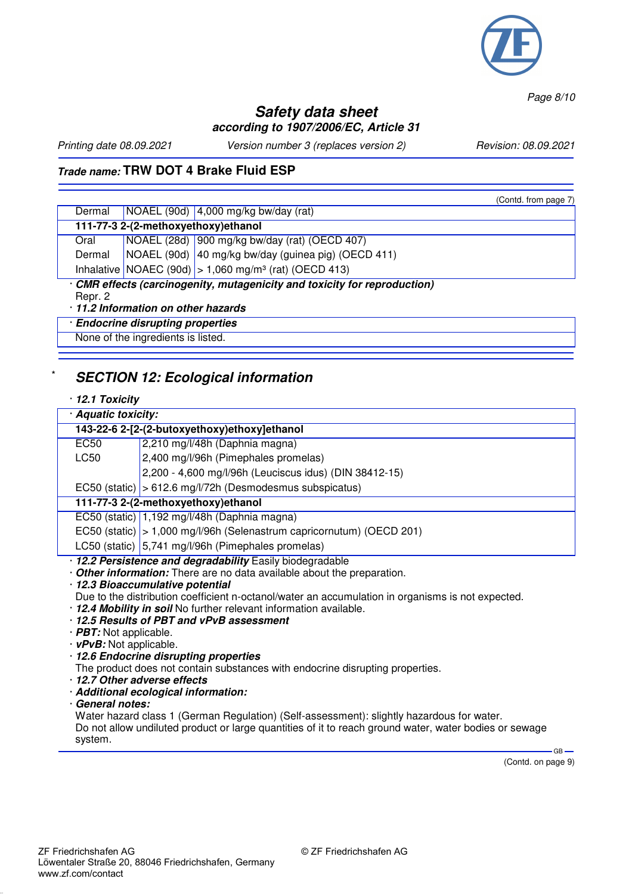

*Page 8/10*

## **Safety data sheet according to 1907/2006/EC, Article 31**

*Printing date 08.09.2021 Version number 3 (replaces version 2) Revision: 08.09.2021*

 $(C_{\text{cutoff}}$  from page 7)

#### **Trade name: TRW DOT 4 Brake Fluid ESP**

|                                                                                                                           |  | OUIIIU. IIUIII Daye 7                                                             |  |  |
|---------------------------------------------------------------------------------------------------------------------------|--|-----------------------------------------------------------------------------------|--|--|
| Dermal                                                                                                                    |  | NOAEL (90d) $ 4,000 \text{ mg/kg}$ bw/day (rat)                                   |  |  |
| 111-77-3 2-(2-methoxyethoxy) ethanol                                                                                      |  |                                                                                   |  |  |
| Oral                                                                                                                      |  | NOAEL (28d) 900 mg/kg bw/day (rat) (OECD 407)                                     |  |  |
| Dermal                                                                                                                    |  | NOAEL (90d) 40 mg/kg bw/day (guinea pig) (OECD 411)                               |  |  |
|                                                                                                                           |  | Inhalative $\vert$ NOAEC (90d) $\vert$ > 1,060 mg/m <sup>3</sup> (rat) (OECD 413) |  |  |
| · CMR effects (carcinogenity, mutagenicity and toxicity for reproduction)<br>Repr. 2<br>11.2 Information on other hazards |  |                                                                                   |  |  |
| · Endocrine disrupting properties                                                                                         |  |                                                                                   |  |  |

None of the ingredients is listed.

## **SECTION 12: Ecological information**

#### · **12.1 Toxicity**

| · Aquatic toxicity:                                                                              |                                                                         |  |  |  |  |
|--------------------------------------------------------------------------------------------------|-------------------------------------------------------------------------|--|--|--|--|
|                                                                                                  | 143-22-6 2-[2-(2-butoxyethoxy)ethoxy]ethanol                            |  |  |  |  |
| EC50                                                                                             | 2,210 mg/l/48h (Daphnia magna)                                          |  |  |  |  |
| LC50                                                                                             | 2,400 mg/l/96h (Pimephales promelas)                                    |  |  |  |  |
|                                                                                                  | 2,200 - 4,600 mg/l/96h (Leuciscus idus) (DIN 38412-15)                  |  |  |  |  |
|                                                                                                  | EC50 (static) $\vert$ > 612.6 mg/l/72h (Desmodesmus subspicatus)        |  |  |  |  |
|                                                                                                  | 111-77-3 2-(2-methoxyethoxy) ethanol                                    |  |  |  |  |
| EC50 (static) 1,192 mg/l/48h (Daphnia magna)                                                     |                                                                         |  |  |  |  |
|                                                                                                  | EC50 (static)   > 1,000 mg/l/96h (Selenastrum capricornutum) (OECD 201) |  |  |  |  |
|                                                                                                  | LC50 (static) 5,741 mg/l/96h (Pimephales promelas)                      |  |  |  |  |
| · 12.2 Persistence and degradability Easily biodegradable                                        |                                                                         |  |  |  |  |
| Other information: There are no data available about the preparation.                            |                                                                         |  |  |  |  |
| · 12.3 Bioaccumulative potential                                                                 |                                                                         |  |  |  |  |
| Due to the distribution coefficient n-octanol/water an accumulation in organisms is not expected |                                                                         |  |  |  |  |

- bution coefficient n-octanol/water an accumulation in organisms is not expected.
- · **12.4 Mobility in soil** No further relevant information available.
- · **12.5 Results of PBT and vPvB assessment**
- · **PBT:** Not applicable.
- · **vPvB:** Not applicable.
- · **12.6 Endocrine disrupting properties**
- The product does not contain substances with endocrine disrupting properties.
- · **12.7 Other adverse effects**
- · **Additional ecological information:**
- · **General notes:**

Water hazard class 1 (German Regulation) (Self-assessment): slightly hazardous for water. Do not allow undiluted product or large quantities of it to reach ground water, water bodies or sewage system.  $-$  GB  $-$ 

(Contd. on page 9)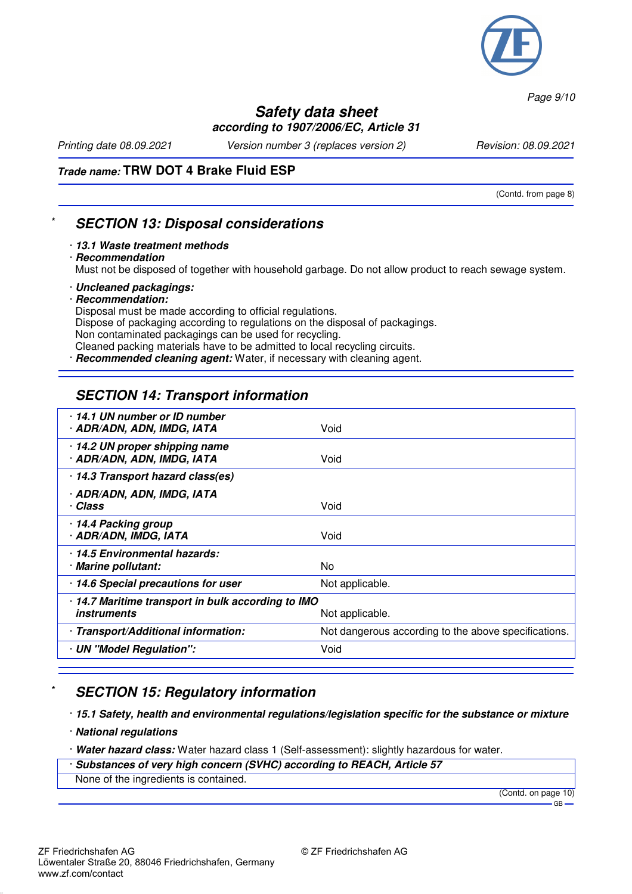

*Page 9/10*

#### **Safety data sheet according to 1907/2006/EC, Article 31**

*Printing date 08.09.2021 Version number 3 (replaces version 2) Revision: 08.09.2021*

(Contd. from page 8)

#### **Trade name: TRW DOT 4 Brake Fluid ESP**

**SECTION 13: Disposal considerations** 

- · **13.1 Waste treatment methods**
- · **Recommendation**

Must not be disposed of together with household garbage. Do not allow product to reach sewage system.

- · **Uncleaned packagings:**
- · **Recommendation:**

Disposal must be made according to official regulations.

Dispose of packaging according to regulations on the disposal of packagings.

Non contaminated packagings can be used for recycling.

Cleaned packing materials have to be admitted to local recycling circuits.

**Recommended cleaning agent:** Water, if necessary with cleaning agent.

# **SECTION 14: Transport information**

| 14.1 UN number or ID number<br>· ADR/ADN, ADN, IMDG, IATA                | Void                                                 |
|--------------------------------------------------------------------------|------------------------------------------------------|
| · 14.2 UN proper shipping name<br>· ADR/ADN, ADN, IMDG, IATA             | Void                                                 |
| · 14.3 Transport hazard class(es)                                        |                                                      |
| · ADR/ADN, ADN, IMDG, IATA<br>· Class                                    | Void                                                 |
| 14.4 Packing group<br>· ADR/ADN, IMDG, IATA                              | Void                                                 |
| 14.5 Environmental hazards:<br>· Marine pollutant:                       | No                                                   |
| · 14.6 Special precautions for user                                      | Not applicable.                                      |
| · 14.7 Maritime transport in bulk according to IMO<br><i>instruments</i> | Not applicable.                                      |
| · Transport/Additional information:                                      | Not dangerous according to the above specifications. |
| · UN "Model Regulation":                                                 | Void                                                 |
|                                                                          |                                                      |

## **SECTION 15: Regulatory information**

· **15.1 Safety, health and environmental regulations/legislation specific for the substance or mixture**

- · **National regulations**
- · **Water hazard class:** Water hazard class 1 (Self-assessment): slightly hazardous for water.
- · **Substances of very high concern (SVHC) according to REACH, Article 57**
- None of the ingredients is contained.

(Contd. on page 10)